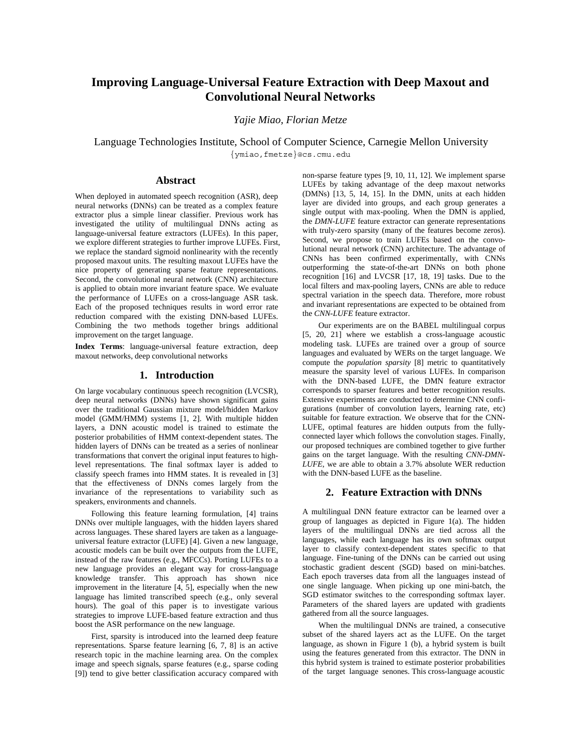# **Improving Language-Universal Feature Extraction with Deep Maxout and Convolutional Neural Networks**

*Yajie Miao, Florian Metze*

Language Technologies Institute, School of Computer Science, Carnegie Mellon University {ymiao,fmetze}@cs.cmu.edu

# **Abstract**

When deployed in automated speech recognition (ASR), deep neural networks (DNNs) can be treated as a complex feature extractor plus a simple linear classifier. Previous work has investigated the utility of multilingual DNNs acting as language-universal feature extractors (LUFEs). In this paper, we explore different strategies to further improve LUFEs. First, we replace the standard sigmoid nonlinearity with the recently proposed maxout units. The resulting maxout LUFEs have the nice property of generating sparse feature representations. Second, the convolutional neural network (CNN) architecture is applied to obtain more invariant feature space. We evaluate the performance of LUFEs on a cross-language ASR task. Each of the proposed techniques results in word error rate reduction compared with the existing DNN-based LUFEs. Combining the two methods together brings additional improvement on the target language.

**Index Terms**: language-universal feature extraction, deep maxout networks, deep convolutional networks

## **1. Introduction**

On large vocabulary continuous speech recognition (LVCSR), deep neural networks (DNNs) have shown significant gains over the traditional Gaussian mixture model/hidden Markov model (GMM/HMM) systems [1, 2]. With multiple hidden layers, a DNN acoustic model is trained to estimate the posterior probabilities of HMM context-dependent states. The hidden layers of DNNs can be treated as a series of nonlinear transformations that convert the original input features to highlevel representations. The final softmax layer is added to classify speech frames into HMM states. It is revealed in [3] that the effectiveness of DNNs comes largely from the invariance of the representations to variability such as speakers, environments and channels.

Following this feature learning formulation, [4] trains DNNs over multiple languages, with the hidden layers shared across languages. These shared layers are taken as a languageuniversal feature extractor (LUFE) [4]. Given a new language, acoustic models can be built over the outputs from the LUFE, instead of the raw features (e.g., MFCCs). Porting LUFEs to a new language provides an elegant way for cross-language knowledge transfer. This approach has shown nice improvement in the literature [4, 5], especially when the new language has limited transcribed speech (e.g., only several hours). The goal of this paper is to investigate various strategies to improve LUFE-based feature extraction and thus boost the ASR performance on the new language.

First, sparsity is introduced into the learned deep feature representations. Sparse feature learning [6, 7, 8] is an active research topic in the machine learning area. On the complex image and speech signals, sparse features (e.g., sparse coding [9]) tend to give better classification accuracy compared with non-sparse feature types [9, 10, 11, 12]. We implement sparse LUFEs by taking advantage of the deep maxout networks (DMNs) [13, 5, 14, 15]. In the DMN, units at each hidden layer are divided into groups, and each group generates a single output with max-pooling. When the DMN is applied, the *DMN-LUFE* feature extractor can generate representations with truly-zero sparsity (many of the features become zeros). Second, we propose to train LUFEs based on the convolutional neural network (CNN) architecture. The advantage of CNNs has been confirmed experimentally, with CNNs outperforming the state-of-the-art DNNs on both phone recognition [16] and LVCSR [17, 18, 19] tasks. Due to the local filters and max-pooling layers, CNNs are able to reduce spectral variation in the speech data. Therefore, more robust and invariant representations are expected to be obtained from the *CNN-LUFE* feature extractor.

Our experiments are on the BABEL multilingual corpus [5, 20, 21] where we establish a cross-language acoustic modeling task. LUFEs are trained over a group of source languages and evaluated by WERs on the target language. We compute the *population sparsity* [8] metric to quantitatively measure the sparsity level of various LUFEs. In comparison with the DNN-based LUFE, the DMN feature extractor corresponds to sparser features and better recognition results. Extensive experiments are conducted to determine CNN configurations (number of convolution layers, learning rate, etc) suitable for feature extraction. We observe that for the CNN-LUFE, optimal features are hidden outputs from the fullyconnected layer which follows the convolution stages. Finally, our proposed techniques are combined together to give further gains on the target language. With the resulting *CNN-DMN-LUFE*, we are able to obtain a 3.7% absolute WER reduction with the DNN-based LUFE as the baseline.

## **2. Feature Extraction with DNNs**

A multilingual DNN feature extractor can be learned over a group of languages as depicted in Figure 1(a). The hidden layers of the multilingual DNNs are tied across all the languages, while each language has its own softmax output layer to classify context-dependent states specific to that language. Fine-tuning of the DNNs can be carried out using stochastic gradient descent (SGD) based on mini-batches. Each epoch traverses data from all the languages instead of one single language. When picking up one mini-batch, the SGD estimator switches to the corresponding softmax layer. Parameters of the shared layers are updated with gradients gathered from all the source languages.

When the multilingual DNNs are trained, a consecutive subset of the shared layers act as the LUFE. On the target language, as shown in Figure 1 (b), a hybrid system is built using the features generated from this extractor. The DNN in this hybrid system is trained to estimate posterior probabilities of the target language senones. This cross-language acoustic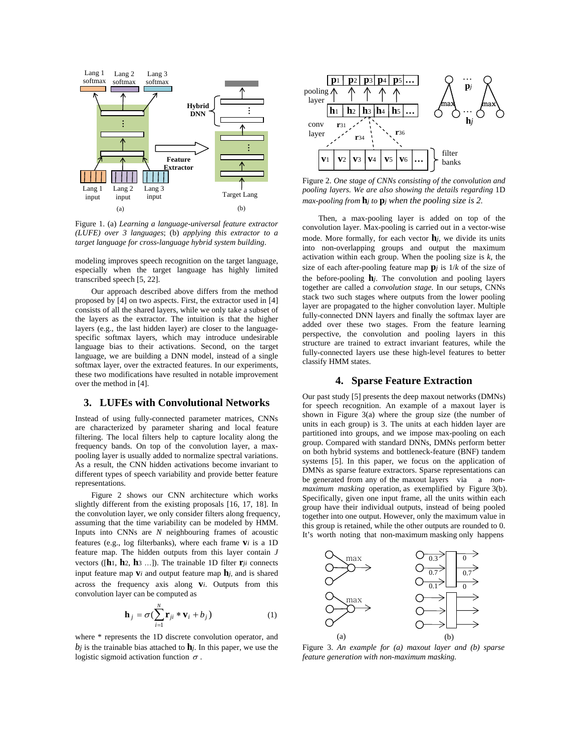

Figure 1. (a) *Learning a language-universal feature extractor (LUFE) over 3 languages*; (b) *applying this extractor to a target language for cross-language hybrid system building*.

modeling improves speech recognition on the target language, especially when the target language has highly limited transcribed speech [5, 22].

Our approach described above differs from the method proposed by [4] on two aspects. First, the extractor used in [4] consists of all the shared layers, while we only take a subset of the layers as the extractor. The intuition is that the higher layers (e.g., the last hidden layer) are closer to the languagespecific softmax layers, which may introduce undesirable language bias to their activations. Second, on the target language, we are building a DNN model, instead of a single softmax layer, over the extracted features. In our experiments, these two modifications have resulted in notable improvement over the method in [4].

#### **3. LUFEs with Convolutional Networks**

Instead of using fully-connected parameter matrices, CNNs are characterized by parameter sharing and local feature filtering. The local filters help to capture locality along the frequency bands. On top of the convolution layer, a maxpooling layer is usually added to normalize spectral variations. As a result, the CNN hidden activations become invariant to different types of speech variability and provide better feature representations.

Figure 2 shows our CNN architecture which works slightly different from the existing proposals [16, 17, 18]. In the convolution layer, we only consider filters along frequency, assuming that the time variability can be modeled by HMM. Inputs into CNNs are *N* neighbouring frames of acoustic features (e.g., log filterbanks), where each frame **v***i* is a 1D feature map. The hidden outputs from this layer contain *J* vectors ([**h**1, **h**2, **h**3 …]). The trainable 1D filter **r***ji* connects input feature map  $\mathbf{v}_i$  and output feature map  $\mathbf{h}_i$ , and is shared across the frequency axis along **v***i*. Outputs from this convolution layer can be computed as

$$
\mathbf{h}_{j} = \sigma \left( \sum_{i=1}^{N} \mathbf{r}_{ji} * \mathbf{v}_{i} + b_{j} \right)
$$
 (1)

where \* represents the 1D discrete convolution operator, and  $b_j$  is the trainable bias attached to  $\mathbf{h}_j$ . In this paper, we use the logistic sigmoid activation function  $\sigma$ .



Figure 2. *One stage of CNNs consisting of the convolution and pooling layers. We are also showing the details regarding* 1D *max-pooling from* **h***j to* **p***j when the pooling size is 2.*

Then, a max-pooling layer is added on top of the convolution layer. Max-pooling is carried out in a vector-wise mode. More formally, for each vector **h***j*, we divide its units into non-overlapping groups and output the maximum activation within each group. When the pooling size is *k*, the size of each after-pooling feature map  $\mathbf{p}_i$  is  $1/k$  of the size of the before-pooling **h***j*. The convolution and pooling layers together are called a *convolution stage*. In our setups, CNNs stack two such stages where outputs from the lower pooling layer are propagated to the higher convolution layer. Multiple fully-connected DNN layers and finally the softmax layer are added over these two stages. From the feature learning perspective, the convolution and pooling layers in this structure are trained to extract invariant features, while the fully-connected layers use these high-level features to better classify HMM states.

## **4. Sparse Feature Extraction**

Our past study [5] presents the deep maxout networks (DMNs) for speech recognition. An example of a maxout layer is shown in Figure 3(a) where the group size (the number of units in each group) is 3. The units at each hidden layer are partitioned into groups, and we impose max-pooling on each group. Compared with standard DNNs, DMNs perform better on both hybrid systems and bottleneck-feature (BNF) tandem systems [5]. In this paper, we focus on the application of DMNs as sparse feature extractors. Sparse representations can be generated from any of the maxout layers via a *nonmaximum masking* operation, as exemplified by Figure 3(b). Specifically, given one input frame, all the units within each group have their individual outputs, instead of being pooled together into one output. However, only the maximum value in this group is retained, while the other outputs are rounded to 0. It's worth noting that non-maximum masking only happens



Figure 3. *An example for (a) maxout layer and (b) sparse feature generation with non-maximum masking.*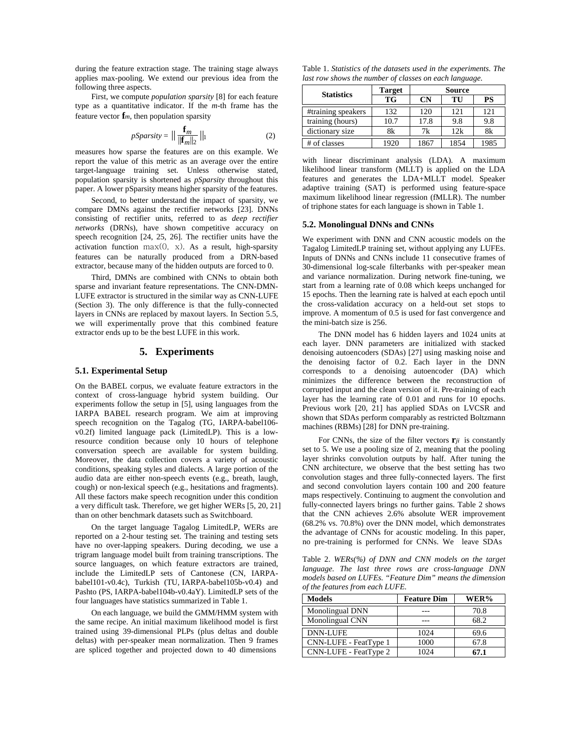during the feature extraction stage. The training stage always applies max-pooling. We extend our previous idea from the following three aspects.

First, we compute *population sparsity* [8] for each feature type as a quantitative indicator. If the *m*-th frame has the feature vector **f***m*, then population sparsity

$$
pSparsity = \left\| \frac{\mathbf{f}_m}{\|\mathbf{f}_m\|_2} \right\|_1 \tag{2}
$$

measures how sparse the features are on this example. We report the value of this metric as an average over the entire target-language training set. Unless otherwise stated, population sparsity is shortened as *pSparsity* throughout this paper. A lower pSparsity means higher sparsity of the features.

Second, to better understand the impact of sparsity, we compare DMNs against the rectifier networks [23]. DNNs consisting of rectifier units, referred to as *deep rectifier networks* (DRNs), have shown competitive accuracy on speech recognition [24, 25, 26]. The rectifier units have the activation function  $max(0, x)$ . As a result, high-sparsity features can be naturally produced from a DRN-based extractor, because many of the hidden outputs are forced to 0.

Third, DMNs are combined with CNNs to obtain both sparse and invariant feature representations. The CNN-DMN-LUFE extractor is structured in the similar way as CNN-LUFE (Section 3). The only difference is that the fully-connected layers in CNNs are replaced by maxout layers. In Section 5.5, we will experimentally prove that this combined feature extractor ends up to be the best LUFE in this work.

#### **5. Experiments**

## **5.1. Experimental Setup**

On the BABEL corpus, we evaluate feature extractors in the context of cross-language hybrid system building. Our experiments follow the setup in [5], using languages from the IARPA BABEL research program. We aim at improving speech recognition on the Tagalog (TG, IARPA-babel106 v0.2f) limited language pack (LimitedLP). This is a lowresource condition because only 10 hours of telephone conversation speech are available for system building. Moreover, the data collection covers a variety of acoustic conditions, speaking styles and dialects. A large portion of the audio data are either non-speech events (e.g., breath, laugh, cough) or non-lexical speech (e.g., hesitations and fragments). All these factors make speech recognition under this condition a very difficult task. Therefore, we get higher WERs [5, 20, 21] than on other benchmark datasets such as Switchboard.

On the target language Tagalog LimitedLP, WERs are reported on a 2-hour testing set. The training and testing sets have no over-lapping speakers. During decoding, we use a trigram language model built from training transcriptions. The source languages, on which feature extractors are trained, include the LimitedLP sets of Cantonese (CN, IARPAbabel101-v0.4c), Turkish (TU, IARPA-babel105b-v0.4) and Pashto (PS, IARPA-babel104b-v0.4aY). LimitedLP sets of the four languages have statistics summarized in Table 1.

On each language, we build the GMM/HMM system with the same recipe. An initial maximum likelihood model is first trained using 39-dimensional PLPs (plus deltas and double deltas) with per-speaker mean normalization. Then 9 frames are spliced together and projected down to 40 dimensions

Table 1. *Statistics of the datasets used in the experiments. The last row shows the number of classes on each language.*

| <b>Statistics</b>  | Target | <b>Source</b> |      |      |
|--------------------|--------|---------------|------|------|
|                    | TG     | CN            | TU   | PS   |
| #training speakers | 132    | 120           | 121  | 121  |
| training (hours)   | 10.7   | 17.8          | 9.8  | 9.8  |
| dictionary size    | 8k     | 7k            | 12k  | 8k   |
| # of classes       | 1920   | 1867          | 1854 | 1985 |

with linear discriminant analysis (LDA). A maximum likelihood linear transform (MLLT) is applied on the LDA features and generates the LDA+MLLT model. Speaker adaptive training (SAT) is performed using feature-space maximum likelihood linear regression (fMLLR). The number of triphone states for each language is shown in Table 1.

#### **5.2. Monolingual DNNs and CNNs**

We experiment with DNN and CNN acoustic models on the Tagalog LimitedLP training set, without applying any LUFEs. Inputs of DNNs and CNNs include 11 consecutive frames of 30-dimensional log-scale filterbanks with per-speaker mean and variance normalization. During network fine-tuning, we start from a learning rate of 0.08 which keeps unchanged for 15 epochs. Then the learning rate is halved at each epoch until the cross-validation accuracy on a held-out set stops to improve. A momentum of 0.5 is used for fast convergence and the mini-batch size is 256.

The DNN model has 6 hidden layers and 1024 units at each layer. DNN parameters are initialized with stacked denoising autoencoders (SDAs) [27] using masking noise and the denoising factor of 0.2. Each layer in the DNN corresponds to a denoising autoencoder (DA) which minimizes the difference between the reconstruction of corrupted input and the clean version of it. Pre-training of each layer has the learning rate of 0.01 and runs for 10 epochs. Previous work [20, 21] has applied SDAs on LVCSR and shown that SDAs perform comparably as restricted Boltzmann machines (RBMs) [28] for DNN pre-training.

For CNNs, the size of the filter vectors **r***ji* is constantly set to 5. We use a pooling size of 2, meaning that the pooling layer shrinks convolution outputs by half. After tuning the CNN architecture, we observe that the best setting has two convolution stages and three fully-connected layers. The first and second convolution layers contain 100 and 200 feature maps respectively. Continuing to augment the convolution and fully-connected layers brings no further gains. Table 2 shows that the CNN achieves 2.6% absolute WER improvement (68.2% vs. 70.8%) over the DNN model, which demonstrates the advantage of CNNs for acoustic modeling. In this paper, no pre-training is performed for CNNs. We leave SDAs

Table 2. *WERs(%) of DNN and CNN models on the target language. The last three rows are cross-language DNN models based on LUFEs. "Feature Dim" means the dimension of the features from each LUFE.* 

| Models                | <b>Feature Dim</b> | WER% |
|-----------------------|--------------------|------|
| Monolingual DNN       |                    | 70.8 |
| Monolingual CNN       |                    | 68.2 |
| <b>DNN-LUFE</b>       | 1024               | 69.6 |
| CNN-LUFE - FeatType 1 | 1000               | 67.8 |
| CNN-LUFE - FeatType 2 | 1024               | 67.1 |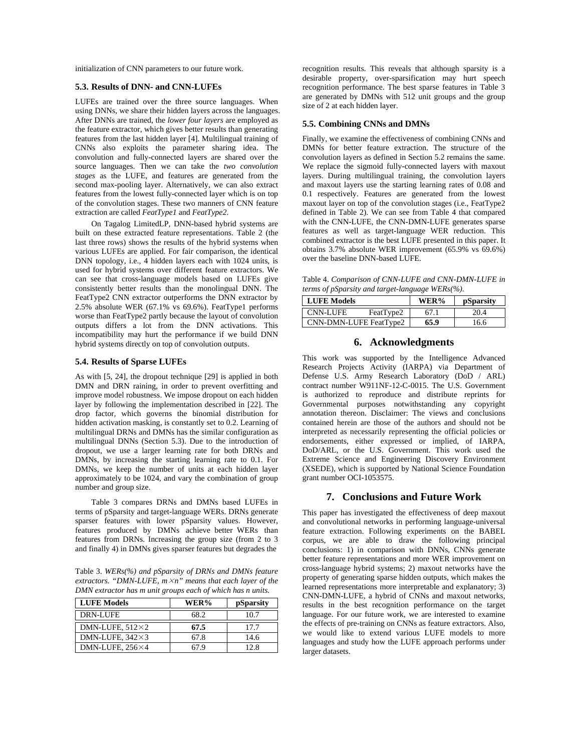initialization of CNN parameters to our future work.

#### **5.3. Results of DNN- and CNN-LUFEs**

LUFEs are trained over the three source languages. When using DNNs, we share their hidden layers across the languages. After DNNs are trained, the *lower four layers* are employed as the feature extractor, which gives better results than generating features from the last hidden layer [4]. Multilingual training of CNNs also exploits the parameter sharing idea. The convolution and fully-connected layers are shared over the source languages. Then we can take the *two convolution stages* as the LUFE, and features are generated from the second max-pooling layer. Alternatively, we can also extract features from the lowest fully-connected layer which is on top of the convolution stages. These two manners of CNN feature extraction are called *FeatType1* and *FeatType2*.

On Tagalog LimitedLP, DNN-based hybrid systems are built on these extracted feature representations. Table 2 (the last three rows) shows the results of the hybrid systems when various LUFEs are applied. For fair comparison, the identical DNN topology, i.e., 4 hidden layers each with 1024 units, is used for hybrid systems over different feature extractors. We can see that cross-language models based on LUFEs give consistently better results than the monolingual DNN. The FeatType2 CNN extractor outperforms the DNN extractor by 2.5% absolute WER (67.1% vs 69.6%). FeatType1 performs worse than FeatType2 partly because the layout of convolution outputs differs a lot from the DNN activations. This incompatibility may hurt the performance if we build DNN hybrid systems directly on top of convolution outputs.

#### **5.4. Results of Sparse LUFEs**

As with [5, 24], the dropout technique [29] is applied in both DMN and DRN raining, in order to prevent overfitting and improve model robustness. We impose dropout on each hidden layer by following the implementation described in [22]. The drop factor, which governs the binomial distribution for hidden activation masking, is constantly set to 0.2. Learning of multilingual DRNs and DMNs has the similar configuration as multilingual DNNs (Section 5.3). Due to the introduction of dropout, we use a larger learning rate for both DRNs and DMNs, by increasing the starting learning rate to 0.1. For DMNs, we keep the number of units at each hidden layer approximately to be 1024, and vary the combination of group number and group size.

Table 3 compares DRNs and DMNs based LUFEs in terms of pSparsity and target-language WERs. DRNs generate sparser features with lower pSparsity values. However, features produced by DMNs achieve better WERs than features from DRNs. Increasing the group size (from 2 to 3 and finally 4) in DMNs gives sparser features but degrades the

Table 3. *WERs(%) and pSparsity of DRNs and DMNs feature extractors. "DMN-LUFE, m*×*n" means that each layer of the DMN extractor has m unit groups each of which has n units.*

| <b>LUFE Models</b>     | WER% | pSparsity |
|------------------------|------|-----------|
| DRN-LUFE               | 68.2 | 10.7      |
| DMN-LUFE, $512\times2$ | 67.5 | 17.7      |
| DMN-LUFE, $342\times3$ | 67.8 | 14.6      |
| DMN-LUFE, $256\times4$ | 67 Q | 12.8      |

recognition results. This reveals that although sparsity is a desirable property, over-sparsification may hurt speech recognition performance. The best sparse features in Table 3 are generated by DMNs with 512 unit groups and the group size of 2 at each hidden layer.

## **5.5. Combining CNNs and DMNs**

Finally, we examine the effectiveness of combining CNNs and DMNs for better feature extraction. The structure of the convolution layers as defined in Section 5.2 remains the same. We replace the sigmoid fully-connected layers with maxout layers. During multilingual training, the convolution layers and maxout layers use the starting learning rates of 0.08 and 0.1 respectively. Features are generated from the lowest maxout layer on top of the convolution stages (i.e., FeatType2 defined in Table 2). We can see from Table 4 that compared with the CNN-LUFE, the CNN-DMN-LUFE generates sparse features as well as target-language WER reduction. This combined extractor is the best LUFE presented in this paper. It obtains 3.7% absolute WER improvement (65.9% vs 69.6%) over the baseline DNN-based LUFE.

Table 4. *Comparison of CNN-LUFE and CNN-DMN-LUFE in terms of pSparsity and target-language WERs(%).*

| <b>LUFE Models</b>     | WER% | <i>pSparsity</i> |  |
|------------------------|------|------------------|--|
| CNN-LUFE<br>FeatType2  | 67.1 | 20.4             |  |
| CNN-DMN-LUFE FeatType2 | 65.9 | 16.6             |  |

## **6. Acknowledgments**

This work was supported by the Intelligence Advanced Research Projects Activity (IARPA) via Department of Defense U.S. Army Research Laboratory (DoD / ARL) contract number W911NF-12-C-0015. The U.S. Government is authorized to reproduce and distribute reprints for Governmental purposes notwithstanding any copyright annotation thereon. Disclaimer: The views and conclusions contained herein are those of the authors and should not be interpreted as necessarily representing the official policies or endorsements, either expressed or implied, of IARPA, DoD/ARL, or the U.S. Government. This work used the Extreme Science and Engineering Discovery Environment (XSEDE), which is supported by National Science Foundation grant number OCI-1053575.

## **7. Conclusions and Future Work**

This paper has investigated the effectiveness of deep maxout and convolutional networks in performing language-universal feature extraction. Following experiments on the BABEL corpus, we are able to draw the following principal conclusions: 1) in comparison with DNNs, CNNs generate better feature representations and more WER improvement on cross-language hybrid systems; 2) maxout networks have the property of generating sparse hidden outputs, which makes the learned representations more interpretable and explanatory; 3) CNN-DMN-LUFE, a hybrid of CNNs and maxout networks, results in the best recognition performance on the target language. For our future work, we are interested to examine the effects of pre-training on CNNs as feature extractors. Also, we would like to extend various LUFE models to more languages and study how the LUFE approach performs under larger datasets.